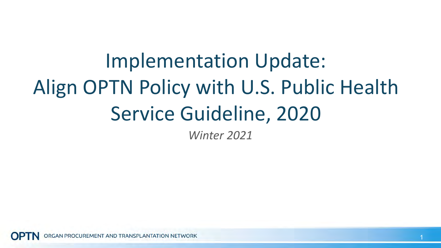*Winter 2021* Implementation Update: Align OPTN Policy with U.S. Public Health Service Guideline, 2020

GAN PROCUREMENT AND TRANSPLANTATION NETWORK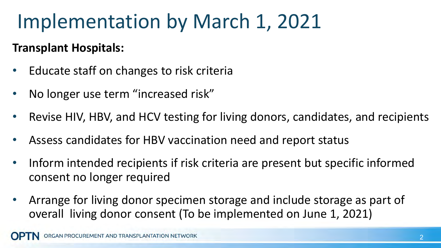# Implementation by March 1, 2021

#### **Transplant Hospitals:**

- Educate staff on changes to risk criteria
- No longer use term "increased risk"
- Revise HIV, HBV, and HCV testing for living donors, candidates, and recipients
- Assess candidates for HBV vaccination need and report status
- Inform intended recipients if risk criteria are present but specific informed consent no longer required
- Arrange for living donor specimen storage and include storage as part of overall living donor consent (To be implemented on June 1, 2021)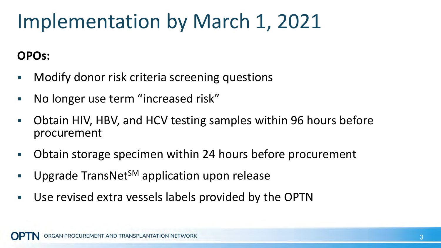# Implementation by March 1, 2021

### **OPOs:**

- Modify donor risk criteria screening questions
- No longer use term "increased risk"
- Obtain HIV, HBV, and HCV testing samples within 96 hours before procurement
- Obtain storage specimen within 24 hours before procurement
- Upgrade TransNet<sup>SM</sup> application upon release
- Use revised extra vessels labels provided by the OPTN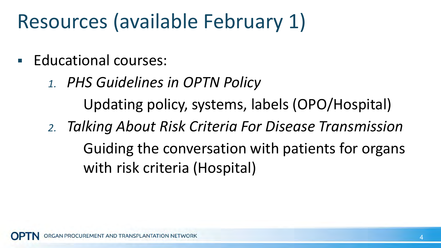# Resources (available February 1)

- **Educational courses:** 
	- *1. PHS Guidelines in OPTN Policy* Updating policy, systems, labels (OPO/Hospital)
	- *2. Talking About Risk Criteria For Disease Transmission* Guiding the conversation with patients for organs with risk criteria (Hospital)